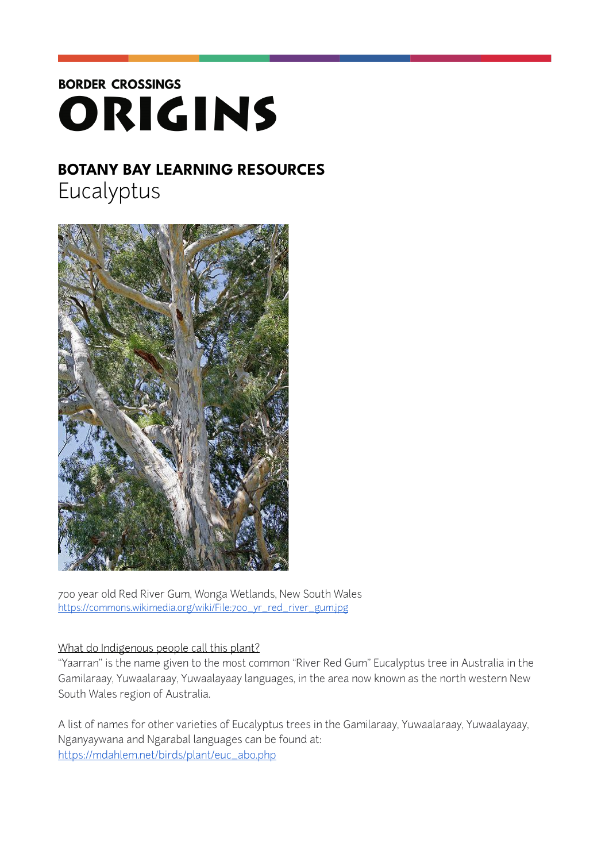# **BORDER CROSSINGS** ORIGINS

## **BOTANY BAY LEARNING RESOURCES**  Eucalyptus



700 year old Red River Gum, Wonga Wetlands, New South Wales [https://commons.wikimedia.org/wiki/File:700\\_yr\\_red\\_river\\_gum.jpg](https://commons.wikimedia.org/wiki/File:700_yr_red_river_gum.jpg)

### What do Indigenous people call this plant?

"Yaarran" is the name given to the most common "River Red Gum" Eucalyptus tree in Australia in the Gamilaraay, Yuwaalaraay, Yuwaalayaay languages, in the area now known as the north western New South Wales region of Australia.

A list of names for other varieties of Eucalyptus trees in the Gamilaraay, Yuwaalaraay, Yuwaalayaay, Nganyaywana and Ngarabal languages can be found at: [https://mdahlem.net/birds/plant/euc\\_abo.php](https://mdahlem.net/birds/plant/euc_abo.php)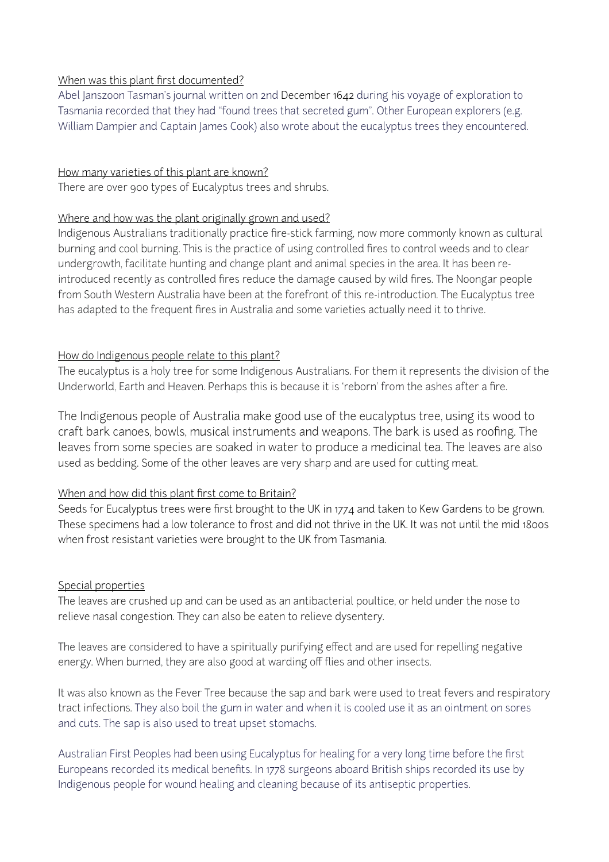#### When was this plant first documented?

Abel Janszoon Tasman's journal written on 2nd December 1642 during his voyage of exploration to Tasmania recorded that they had "found trees that secreted gum". Other European explorers (e.g. William Dampier and Captain James Cook) also wrote about the eucalyptus trees they encountered.

#### How many varieties of this plant are known?

There are over 900 types of Eucalyptus trees and shrubs.

#### Where and how was the plant originally grown and used?

Indigenous Australians traditionally practice fire-stick farming, now more commonly known as cultural burning and cool burning. This is the practice of using controlled fires to control weeds and to clear undergrowth, facilitate hunting and change plant and animal species in the area. It has been reintroduced recently as controlled fires reduce the damage caused by wild fires. The Noongar people from South Western Australia have been at the forefront of this re-introduction. The Eucalyptus tree has adapted to the frequent fires in Australia and some varieties actually need it to thrive.

#### How do Indigenous people relate to this plant?

The eucalyptus is a holy tree for some Indigenous Australians. For them it represents the division of the Underworld, Earth and Heaven. Perhaps this is because it is 'reborn' from the ashes after a fire.

The Indigenous people of Australia make good use of the eucalyptus tree, using its wood to craft bark canoes, bowls, musical instruments and weapons. The bark is used as roofing. The leaves from some species are soaked in water to produce a medicinal tea. The leaves are also used as bedding. Some of the other leaves are very sharp and are used for cutting meat.

#### When and how did this plant first come to Britain?

Seeds for Eucalyptus trees were first brought to the UK in 1774 and taken to Kew Gardens to be grown. These specimens had a low tolerance to frost and did not thrive in the UK. It was not until the mid 1800s when frost resistant varieties were brought to the UK from Tasmania.

#### Special properties

The leaves are crushed up and can be used as an antibacterial poultice, or held under the nose to relieve nasal congestion. They can also be eaten to relieve dysentery.

The leaves are considered to have a spiritually purifying effect and are used for repelling negative energy. When burned, they are also good at warding off flies and other insects.

It was also known as the Fever Tree because the sap and bark were used to treat fevers and respiratory tract infections. They also boil the gum in water and when it is cooled use it as an ointment on sores and cuts. The sap is also used to treat upset stomachs.

Australian First Peoples had been using Eucalyptus for healing for a very long time before the first Europeans recorded its medical benefits. In 1778 surgeons aboard British ships recorded its use by Indigenous people for wound healing and cleaning because of its antiseptic properties.